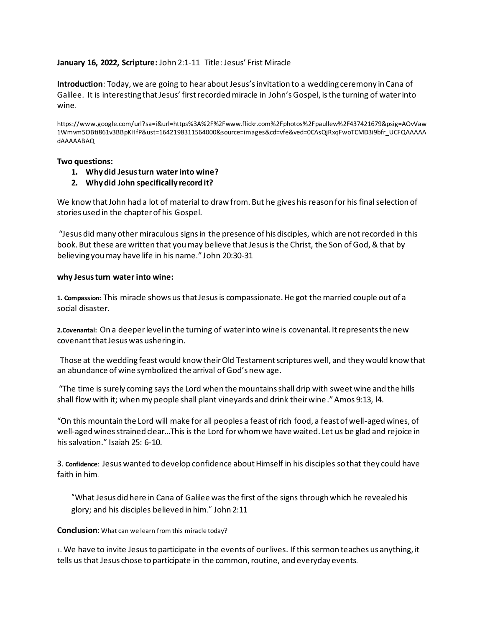## **January 16, 2022, Scripture:** John 2:1-11 Title: Jesus' Frist Miracle

**Introduction**: Today, we are going to hear about Jesus's invitation to a wedding ceremony in Cana of Galilee. It is interesting that Jesus' first recorded miracle in John's Gospel, is the turning of waterinto wine.

https://www.google.com/url?sa=i&url=https%3A%2F%2Fwww.flickr.com%2Fphotos%2Fpaullew%2F437421679&psig=AOvVaw 1Wmvm5OBti861v3BBpKHfP&ust=1642198311564000&source=images&cd=vfe&ved=0CAsQjRxqFwoTCMD3i9bfr\_UCFQAAAAA dAAAAABAQ

## **Two questions:**

- **1. Why did Jesus turn water into wine?**
- **2. Whydid John specifically record it?**

We know that John had a lot of material to draw from. But he gives his reason for his final selection of stories used in the chapter of his Gospel.

"Jesus did many other miraculous signs in the presence of his disciples, which are not recorded in this book. But these are written that you may believe that Jesus is the Christ, the Son of God, & that by believing you may have life in his name." John 20:30-31

## **why Jesus turn water into wine:**

**1. Compassion:** This miracle shows us that Jesus is compassionate. He got the married couple out of a social disaster.

**2.Covenantal:** On a deeper level in the turning of water into wine is covenantal. It represents the new covenant that Jesus was ushering in.

Those at the wedding feast would know their Old Testament scriptures well, and they would know that an abundance of wine symbolized the arrival of God's new age.

"The time is surely coming says the Lord when the mountains shall drip with sweet wine and the hills shall flow with it; when my people shall plant vineyards and drink their wine."Amos 9:13, l4.

"On this mountain the Lord will make for all peoples a feast of rich food, a feast of well-aged wines, of well-aged wines strained clear…This is the Lord for whom we have waited. Let us be glad and rejoice in his salvation." Isaiah 25: 6-10.

3. **Confidence**: Jesus wanted to develop confidence about Himself in his disciples so that they could have faith in him*.* 

"What Jesus did here in Cana of Galilee was the first of the signs through which he revealed his glory; and his disciples believed in him." John 2:11

## **Conclusion**: What can we learn from this miracle today?

1. We have to invite Jesus to participate in the events of our lives. If this sermon teaches us anything, it tells us that Jesus chose to participate in the common, routine, and everyday events.